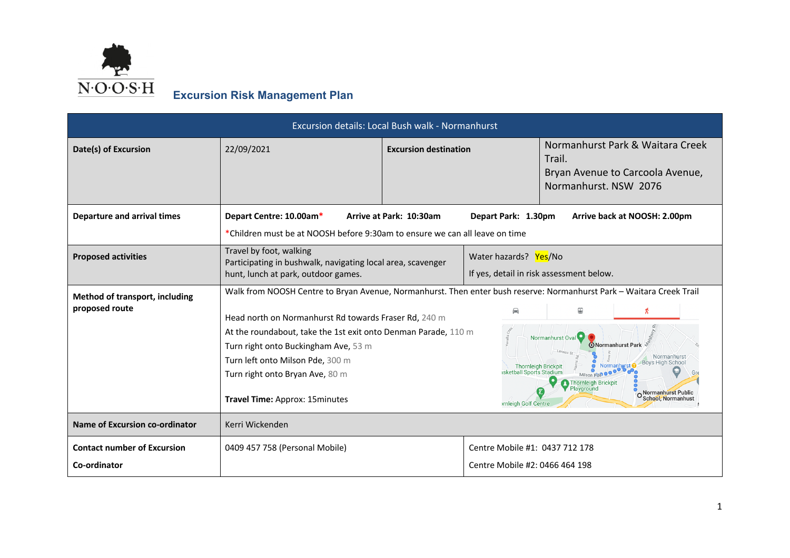

|                                                  | Excursion details: Local Bush walk - Normanhurst                                                                                                                                                                                                                         |                              |                                                                               |                                                                                                                                                                                                                                                                                                  |  |  |
|--------------------------------------------------|--------------------------------------------------------------------------------------------------------------------------------------------------------------------------------------------------------------------------------------------------------------------------|------------------------------|-------------------------------------------------------------------------------|--------------------------------------------------------------------------------------------------------------------------------------------------------------------------------------------------------------------------------------------------------------------------------------------------|--|--|
| Date(s) of Excursion                             | 22/09/2021                                                                                                                                                                                                                                                               | <b>Excursion destination</b> |                                                                               | Normanhurst Park & Waitara Creek<br>Trail.<br>Bryan Avenue to Carcoola Avenue,<br>Normanhurst, NSW 2076                                                                                                                                                                                          |  |  |
| Departure and arrival times                      | Depart Centre: 10.00am*                                                                                                                                                                                                                                                  | Arrive at Park: 10:30am      | Depart Park: 1.30pm                                                           | Arrive back at NOOSH: 2.00pm                                                                                                                                                                                                                                                                     |  |  |
|                                                  | *Children must be at NOOSH before 9:30am to ensure we can all leave on time                                                                                                                                                                                              |                              |                                                                               |                                                                                                                                                                                                                                                                                                  |  |  |
| <b>Proposed activities</b>                       | Travel by foot, walking<br>Participating in bushwalk, navigating local area, scavenger<br>hunt, lunch at park, outdoor games.                                                                                                                                            |                              | Water hazards? Yes/No                                                         | If yes, detail in risk assessment below.                                                                                                                                                                                                                                                         |  |  |
| Method of transport, including<br>proposed route | Head north on Normanhurst Rd towards Fraser Rd, 240 m<br>At the roundabout, take the 1st exit onto Denman Parade, 110 m<br>Turn right onto Buckingham Ave, 53 m<br>Turn left onto Milson Pde, 300 m<br>Turn right onto Bryan Ave, 80 m<br>Travel Time: Approx: 15minutes |                              | Thornleigh Brickpit<br>Isketball Sports Stadium<br><b>Inleigh Golf Centre</b> | Walk from NOOSH Centre to Bryan Avenue, Normanhurst. Then enter bush reserve: Normanhurst Park - Waitara Creek Trail<br>⊞<br>Normanhurst Oval<br>O Normanhurst Park<br>lovs High School<br>Milson Pde<br><b>Thornleigh Brickpit</b><br>raround<br><b>Normanhurst Public</b><br>School: Normanhus |  |  |
| <b>Name of Excursion co-ordinator</b>            | Kerri Wickenden                                                                                                                                                                                                                                                          |                              |                                                                               |                                                                                                                                                                                                                                                                                                  |  |  |
| <b>Contact number of Excursion</b>               | 0409 457 758 (Personal Mobile)                                                                                                                                                                                                                                           |                              | Centre Mobile #1: 0437 712 178                                                |                                                                                                                                                                                                                                                                                                  |  |  |
| Co-ordinator                                     |                                                                                                                                                                                                                                                                          |                              | Centre Mobile #2: 0466 464 198                                                |                                                                                                                                                                                                                                                                                                  |  |  |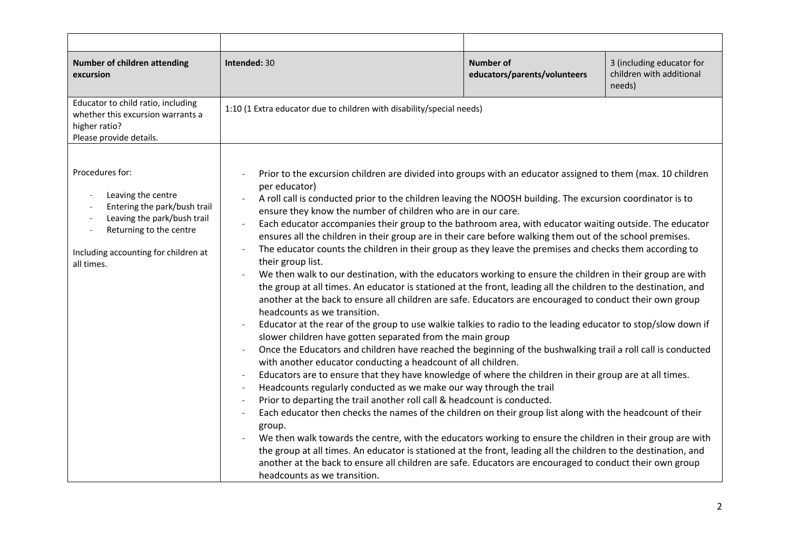| <b>Number of children attending</b><br>excursion                                                                                                                                      | Intended: 30                                                                                                                                                                                                                                                                                                                                                                                                                                                                                                                                                                                                                                                                                                                                                                                                                                                                                                                                                                                                                                                                                                                                                                                                                                                                                                                                                                                                                                                                                                                                                                                                                                                                                                                                                                                                                                                                                                                                                                                                                                                                                                                                                                                                                         | <b>Number of</b><br>educators/parents/volunteers | 3 (including educator for<br>children with additional<br>needs) |
|---------------------------------------------------------------------------------------------------------------------------------------------------------------------------------------|--------------------------------------------------------------------------------------------------------------------------------------------------------------------------------------------------------------------------------------------------------------------------------------------------------------------------------------------------------------------------------------------------------------------------------------------------------------------------------------------------------------------------------------------------------------------------------------------------------------------------------------------------------------------------------------------------------------------------------------------------------------------------------------------------------------------------------------------------------------------------------------------------------------------------------------------------------------------------------------------------------------------------------------------------------------------------------------------------------------------------------------------------------------------------------------------------------------------------------------------------------------------------------------------------------------------------------------------------------------------------------------------------------------------------------------------------------------------------------------------------------------------------------------------------------------------------------------------------------------------------------------------------------------------------------------------------------------------------------------------------------------------------------------------------------------------------------------------------------------------------------------------------------------------------------------------------------------------------------------------------------------------------------------------------------------------------------------------------------------------------------------------------------------------------------------------------------------------------------------|--------------------------------------------------|-----------------------------------------------------------------|
| Educator to child ratio, including<br>whether this excursion warrants a<br>higher ratio?<br>Please provide details.                                                                   | 1:10 (1 Extra educator due to children with disability/special needs)                                                                                                                                                                                                                                                                                                                                                                                                                                                                                                                                                                                                                                                                                                                                                                                                                                                                                                                                                                                                                                                                                                                                                                                                                                                                                                                                                                                                                                                                                                                                                                                                                                                                                                                                                                                                                                                                                                                                                                                                                                                                                                                                                                |                                                  |                                                                 |
| Procedures for:<br>Leaving the centre<br>Entering the park/bush trail<br>Leaving the park/bush trail<br>Returning to the centre<br>Including accounting for children at<br>all times. | Prior to the excursion children are divided into groups with an educator assigned to them (max. 10 children<br>per educator)<br>A roll call is conducted prior to the children leaving the NOOSH building. The excursion coordinator is to<br>ensure they know the number of children who are in our care.<br>Each educator accompanies their group to the bathroom area, with educator waiting outside. The educator<br>÷,<br>ensures all the children in their group are in their care before walking them out of the school premises.<br>The educator counts the children in their group as they leave the premises and checks them according to<br>their group list.<br>We then walk to our destination, with the educators working to ensure the children in their group are with<br>$\blacksquare$<br>the group at all times. An educator is stationed at the front, leading all the children to the destination, and<br>another at the back to ensure all children are safe. Educators are encouraged to conduct their own group<br>headcounts as we transition.<br>Educator at the rear of the group to use walkie talkies to radio to the leading educator to stop/slow down if<br>slower children have gotten separated from the main group<br>Once the Educators and children have reached the beginning of the bushwalking trail a roll call is conducted<br>with another educator conducting a headcount of all children.<br>Educators are to ensure that they have knowledge of where the children in their group are at all times.<br>Headcounts regularly conducted as we make our way through the trail<br>Prior to departing the trail another roll call & headcount is conducted.<br>Each educator then checks the names of the children on their group list along with the headcount of their<br>group.<br>We then walk towards the centre, with the educators working to ensure the children in their group are with<br>$\overline{\phantom{a}}$<br>the group at all times. An educator is stationed at the front, leading all the children to the destination, and<br>another at the back to ensure all children are safe. Educators are encouraged to conduct their own group<br>headcounts as we transition. |                                                  |                                                                 |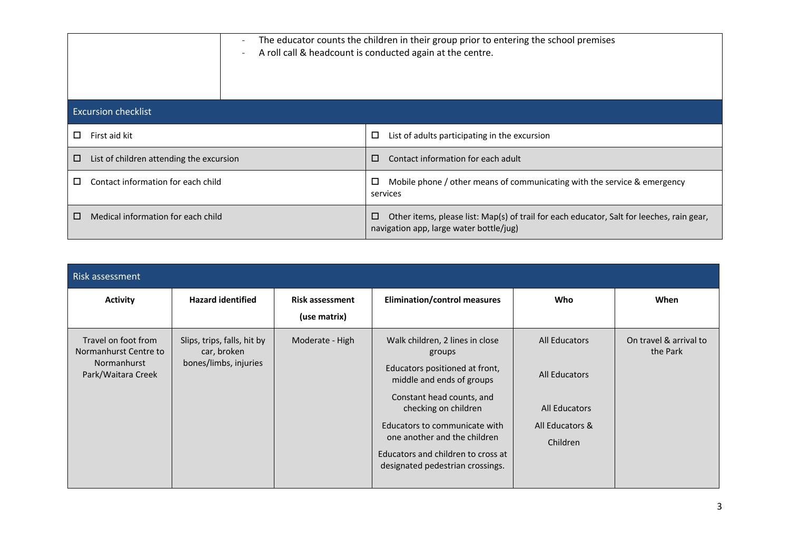| $\overline{\phantom{a}}$                 | The educator counts the children in their group prior to entering the school premises                                                     |  |  |  |  |
|------------------------------------------|-------------------------------------------------------------------------------------------------------------------------------------------|--|--|--|--|
| $\overline{\phantom{a}}$                 | A roll call & headcount is conducted again at the centre.                                                                                 |  |  |  |  |
| <b>Excursion checklist</b>               |                                                                                                                                           |  |  |  |  |
| First aid kit                            | □                                                                                                                                         |  |  |  |  |
| □                                        | List of adults participating in the excursion                                                                                             |  |  |  |  |
| List of children attending the excursion | Contact information for each adult                                                                                                        |  |  |  |  |
| □                                        | $\Box$                                                                                                                                    |  |  |  |  |
| Contact information for each child<br>□  | Mobile phone / other means of communicating with the service & emergency<br>□<br>services                                                 |  |  |  |  |
| Medical information for each child       | Other items, please list: Map(s) of trail for each educator, Salt for leeches, rain gear,<br>□<br>navigation app, large water bottle/jug) |  |  |  |  |

| Risk assessment                                                                   |                                                                     |                                        |                                                                                                                                                                                                                                                                                                          |                                                                                              |                                    |  |  |
|-----------------------------------------------------------------------------------|---------------------------------------------------------------------|----------------------------------------|----------------------------------------------------------------------------------------------------------------------------------------------------------------------------------------------------------------------------------------------------------------------------------------------------------|----------------------------------------------------------------------------------------------|------------------------------------|--|--|
| <b>Activity</b>                                                                   | <b>Hazard identified</b>                                            | <b>Risk assessment</b><br>(use matrix) | <b>Elimination/control measures</b>                                                                                                                                                                                                                                                                      | <b>Who</b>                                                                                   | When                               |  |  |
| Travel on foot from<br>Normanhurst Centre to<br>Normanhurst<br>Park/Waitara Creek | Slips, trips, falls, hit by<br>car, broken<br>bones/limbs, injuries | Moderate - High                        | Walk children, 2 lines in close<br>groups<br>Educators positioned at front,<br>middle and ends of groups<br>Constant head counts, and<br>checking on children<br>Educators to communicate with<br>one another and the children<br>Educators and children to cross at<br>designated pedestrian crossings. | All Educators<br><b>All Educators</b><br><b>All Educators</b><br>All Educators &<br>Children | On travel & arrival to<br>the Park |  |  |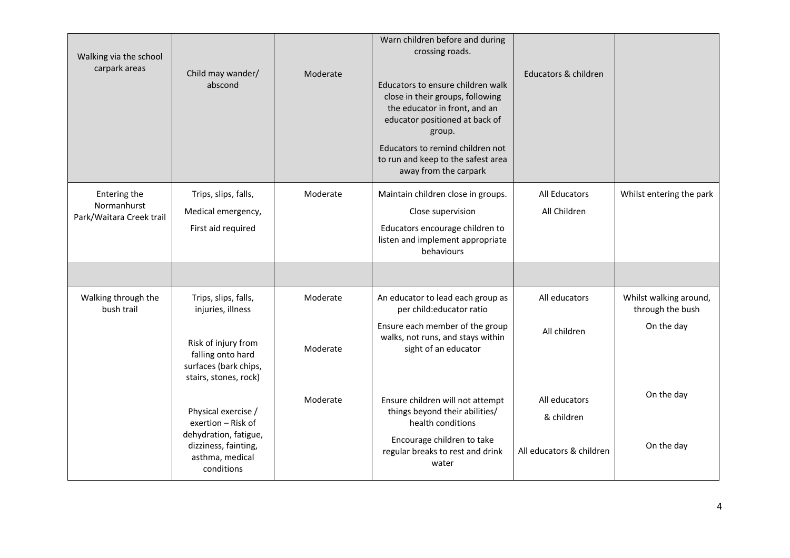| Walking via the school<br>carpark areas                 | Child may wander/<br>abscond                                                                                                            | Moderate             | Warn children before and during<br>crossing roads.<br>Educators to ensure children walk<br>close in their groups, following<br>the educator in front, and an<br>educator positioned at back of<br>group.<br>Educators to remind children not<br>to run and keep to the safest area<br>away from the carpark | Educators & children                                    |                                                          |
|---------------------------------------------------------|-----------------------------------------------------------------------------------------------------------------------------------------|----------------------|-------------------------------------------------------------------------------------------------------------------------------------------------------------------------------------------------------------------------------------------------------------------------------------------------------------|---------------------------------------------------------|----------------------------------------------------------|
| Entering the<br>Normanhurst<br>Park/Waitara Creek trail | Trips, slips, falls,<br>Medical emergency,<br>First aid required                                                                        | Moderate             | Maintain children close in groups.<br>Close supervision<br>Educators encourage children to<br>listen and implement appropriate<br>behaviours                                                                                                                                                                | <b>All Educators</b><br>All Children                    | Whilst entering the park                                 |
|                                                         |                                                                                                                                         |                      |                                                                                                                                                                                                                                                                                                             |                                                         |                                                          |
| Walking through the<br>bush trail                       | Trips, slips, falls,<br>injuries, illness<br>Risk of injury from<br>falling onto hard<br>surfaces (bark chips,<br>stairs, stones, rock) | Moderate<br>Moderate | An educator to lead each group as<br>per child:educator ratio<br>Ensure each member of the group<br>walks, not runs, and stays within<br>sight of an educator                                                                                                                                               | All educators<br>All children                           | Whilst walking around,<br>through the bush<br>On the day |
|                                                         | Physical exercise /<br>exertion - Risk of<br>dehydration, fatigue,<br>dizziness, fainting,<br>asthma, medical<br>conditions             | Moderate             | Ensure children will not attempt<br>things beyond their abilities/<br>health conditions<br>Encourage children to take<br>regular breaks to rest and drink<br>water                                                                                                                                          | All educators<br>& children<br>All educators & children | On the day<br>On the day                                 |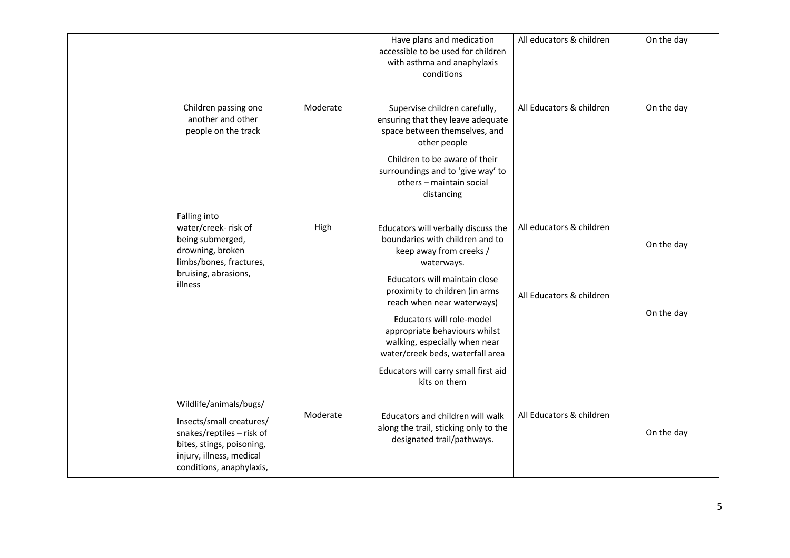|                                                                                                                                                                      |          | Have plans and medication<br>accessible to be used for children<br>with asthma and anaphylaxis<br>conditions                    | All educators & children | On the day |
|----------------------------------------------------------------------------------------------------------------------------------------------------------------------|----------|---------------------------------------------------------------------------------------------------------------------------------|--------------------------|------------|
| Children passing one<br>another and other<br>people on the track                                                                                                     | Moderate | Supervise children carefully,<br>ensuring that they leave adequate<br>space between themselves, and<br>other people             | All Educators & children | On the day |
|                                                                                                                                                                      |          | Children to be aware of their<br>surroundings and to 'give way' to<br>others - maintain social<br>distancing                    |                          |            |
| Falling into<br>water/creek- risk of<br>being submerged,<br>drowning, broken<br>limbs/bones, fractures,                                                              | High     | Educators will verbally discuss the<br>boundaries with children and to<br>keep away from creeks /<br>waterways.                 | All educators & children | On the day |
| bruising, abrasions,<br>illness                                                                                                                                      |          | Educators will maintain close<br>proximity to children (in arms<br>reach when near waterways)                                   | All Educators & children |            |
|                                                                                                                                                                      |          | Educators will role-model<br>appropriate behaviours whilst<br>walking, especially when near<br>water/creek beds, waterfall area |                          | On the day |
|                                                                                                                                                                      |          | Educators will carry small first aid<br>kits on them                                                                            |                          |            |
| Wildlife/animals/bugs/<br>Insects/small creatures/<br>snakes/reptiles - risk of<br>bites, stings, poisoning,<br>injury, illness, medical<br>conditions, anaphylaxis, | Moderate | Educators and children will walk<br>along the trail, sticking only to the<br>designated trail/pathways.                         | All Educators & children | On the day |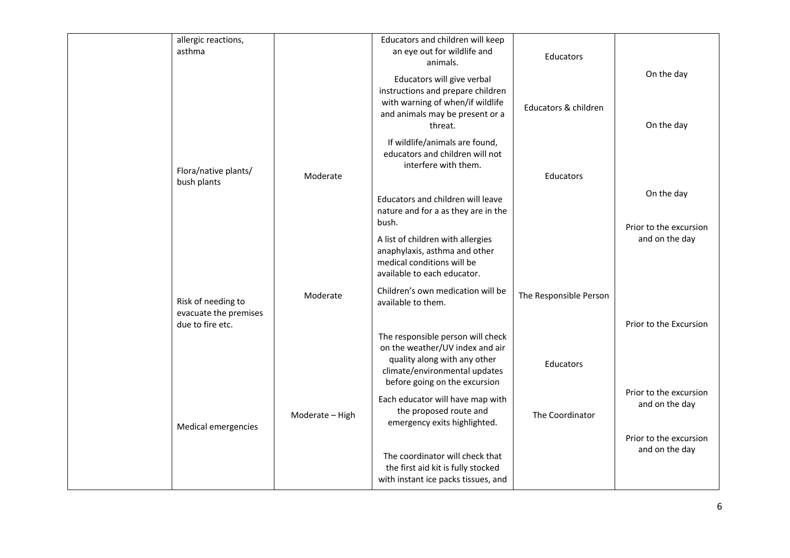| allergic reactions,<br>asthma                                   |                 | Educators and children will keep<br>an eye out for wildlife and<br>animals.                                                                                            | Educators              |                                          |
|-----------------------------------------------------------------|-----------------|------------------------------------------------------------------------------------------------------------------------------------------------------------------------|------------------------|------------------------------------------|
|                                                                 |                 | Educators will give verbal<br>instructions and prepare children<br>with warning of when/if wildlife<br>and animals may be present or a<br>threat.                      | Educators & children   | On the day<br>On the day                 |
| Flora/native plants/<br>bush plants                             | Moderate        | If wildlife/animals are found,<br>educators and children will not<br>interfere with them.                                                                              | Educators              |                                          |
|                                                                 |                 | Educators and children will leave<br>nature and for a as they are in the<br>bush.                                                                                      |                        | On the day<br>Prior to the excursion     |
|                                                                 |                 | A list of children with allergies<br>anaphylaxis, asthma and other<br>medical conditions will be<br>available to each educator.                                        |                        | and on the day                           |
| Risk of needing to<br>evacuate the premises<br>due to fire etc. | Moderate        | Children's own medication will be<br>available to them.                                                                                                                | The Responsible Person | Prior to the Excursion                   |
|                                                                 |                 | The responsible person will check<br>on the weather/UV index and air<br>quality along with any other<br>climate/environmental updates<br>before going on the excursion | Educators              |                                          |
| Medical emergencies                                             | Moderate - High | Each educator will have map with<br>the proposed route and<br>emergency exits highlighted.                                                                             | The Coordinator        | Prior to the excursion<br>and on the day |
|                                                                 |                 | The coordinator will check that<br>the first aid kit is fully stocked<br>with instant ice packs tissues, and                                                           |                        | Prior to the excursion<br>and on the day |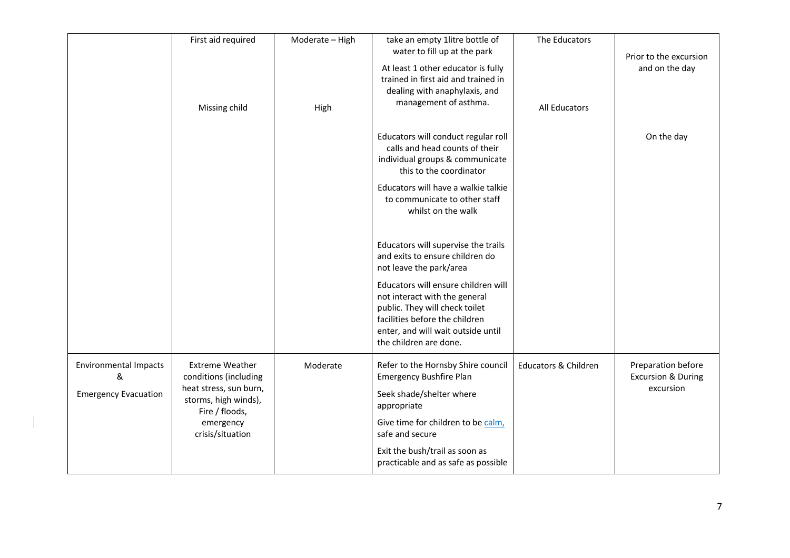|                                   | First aid required                                               | Moderate - High | take an empty 1litre bottle of<br>water to fill up at the park                                                                                                                                           | The Educators                   | Prior to the excursion                              |
|-----------------------------------|------------------------------------------------------------------|-----------------|----------------------------------------------------------------------------------------------------------------------------------------------------------------------------------------------------------|---------------------------------|-----------------------------------------------------|
|                                   | Missing child                                                    | High            | At least 1 other educator is fully<br>trained in first aid and trained in<br>dealing with anaphylaxis, and<br>management of asthma.                                                                      | All Educators                   | and on the day                                      |
|                                   |                                                                  |                 | Educators will conduct regular roll<br>calls and head counts of their<br>individual groups & communicate<br>this to the coordinator                                                                      |                                 | On the day                                          |
|                                   |                                                                  |                 | Educators will have a walkie talkie<br>to communicate to other staff<br>whilst on the walk                                                                                                               |                                 |                                                     |
|                                   |                                                                  |                 | Educators will supervise the trails<br>and exits to ensure children do<br>not leave the park/area                                                                                                        |                                 |                                                     |
|                                   |                                                                  |                 | Educators will ensure children will<br>not interact with the general<br>public. They will check toilet<br>facilities before the children<br>enter, and will wait outside until<br>the children are done. |                                 |                                                     |
| <b>Environmental Impacts</b><br>& | <b>Extreme Weather</b><br>conditions (including                  | Moderate        | Refer to the Hornsby Shire council<br><b>Emergency Bushfire Plan</b>                                                                                                                                     | <b>Educators &amp; Children</b> | Preparation before<br><b>Excursion &amp; During</b> |
| <b>Emergency Evacuation</b>       | heat stress, sun burn,<br>storms, high winds),<br>Fire / floods, |                 | Seek shade/shelter where<br>appropriate                                                                                                                                                                  |                                 | excursion                                           |
|                                   | emergency<br>crisis/situation                                    |                 | Give time for children to be calm,<br>safe and secure                                                                                                                                                    |                                 |                                                     |
|                                   |                                                                  |                 | Exit the bush/trail as soon as<br>practicable and as safe as possible                                                                                                                                    |                                 |                                                     |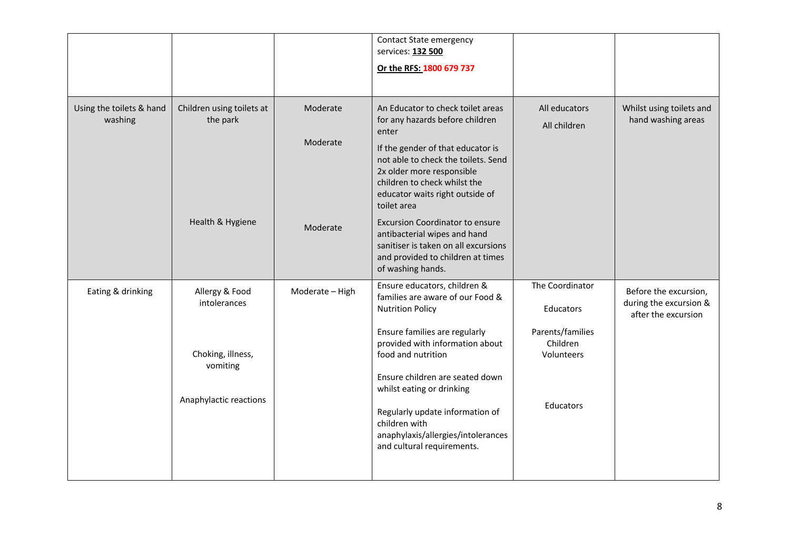|                                     |                                                                                           |                                  | Contact State emergency<br>services: 132 500<br>Or the RFS: 1800 679 737                                                                                                                                                                                                                                                                                                                                                        |                                                                                         |                                                                        |
|-------------------------------------|-------------------------------------------------------------------------------------------|----------------------------------|---------------------------------------------------------------------------------------------------------------------------------------------------------------------------------------------------------------------------------------------------------------------------------------------------------------------------------------------------------------------------------------------------------------------------------|-----------------------------------------------------------------------------------------|------------------------------------------------------------------------|
| Using the toilets & hand<br>washing | Children using toilets at<br>the park<br>Health & Hygiene                                 | Moderate<br>Moderate<br>Moderate | An Educator to check toilet areas<br>for any hazards before children<br>enter<br>If the gender of that educator is<br>not able to check the toilets. Send<br>2x older more responsible<br>children to check whilst the<br>educator waits right outside of<br>toilet area<br><b>Excursion Coordinator to ensure</b><br>antibacterial wipes and hand<br>sanitiser is taken on all excursions<br>and provided to children at times | All educators<br>All children                                                           | Whilst using toilets and<br>hand washing areas                         |
| Eating & drinking                   | Allergy & Food<br>intolerances<br>Choking, illness,<br>vomiting<br>Anaphylactic reactions | Moderate - High                  | of washing hands.<br>Ensure educators, children &<br>families are aware of our Food &<br><b>Nutrition Policy</b><br>Ensure families are regularly<br>provided with information about<br>food and nutrition<br>Ensure children are seated down<br>whilst eating or drinking<br>Regularly update information of<br>children with<br>anaphylaxis/allergies/intolerances<br>and cultural requirements.                              | The Coordinator<br>Educators<br>Parents/families<br>Children<br>Volunteers<br>Educators | Before the excursion,<br>during the excursion &<br>after the excursion |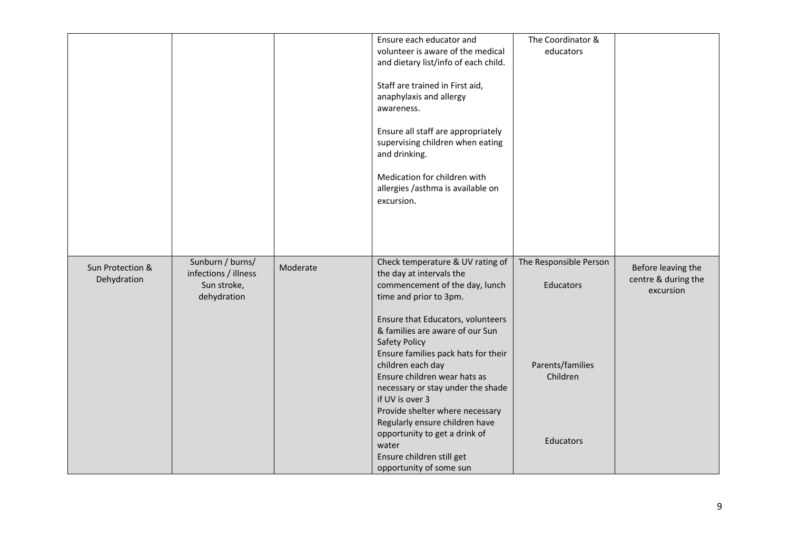|                                 |                                                                        |          | Ensure each educator and<br>volunteer is aware of the medical<br>and dietary list/info of each child.<br>Staff are trained in First aid,<br>anaphylaxis and allergy<br>awareness.<br>Ensure all staff are appropriately<br>supervising children when eating<br>and drinking.<br>Medication for children with<br>allergies /asthma is available on<br>excursion.                                                                                                                                                                                     | The Coordinator &<br>educators                                                          |                                                        |
|---------------------------------|------------------------------------------------------------------------|----------|-----------------------------------------------------------------------------------------------------------------------------------------------------------------------------------------------------------------------------------------------------------------------------------------------------------------------------------------------------------------------------------------------------------------------------------------------------------------------------------------------------------------------------------------------------|-----------------------------------------------------------------------------------------|--------------------------------------------------------|
| Sun Protection &<br>Dehydration | Sunburn / burns/<br>infections / illness<br>Sun stroke,<br>dehydration | Moderate | Check temperature & UV rating of<br>the day at intervals the<br>commencement of the day, lunch<br>time and prior to 3pm.<br>Ensure that Educators, volunteers<br>& families are aware of our Sun<br><b>Safety Policy</b><br>Ensure families pack hats for their<br>children each day<br>Ensure children wear hats as<br>necessary or stay under the shade<br>if UV is over 3<br>Provide shelter where necessary<br>Regularly ensure children have<br>opportunity to get a drink of<br>water<br>Ensure children still get<br>opportunity of some sun | The Responsible Person<br><b>Educators</b><br>Parents/families<br>Children<br>Educators | Before leaving the<br>centre & during the<br>excursion |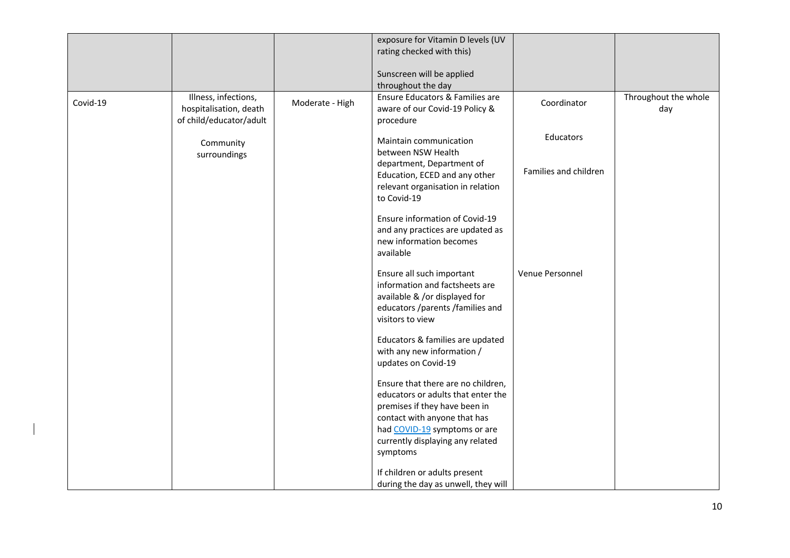|          |                                                                           |                 | exposure for Vitamin D levels (UV<br>rating checked with this)<br>Sunscreen will be applied                                                                                                                               |                                    |                             |
|----------|---------------------------------------------------------------------------|-----------------|---------------------------------------------------------------------------------------------------------------------------------------------------------------------------------------------------------------------------|------------------------------------|-----------------------------|
| Covid-19 | Illness, infections,<br>hospitalisation, death<br>of child/educator/adult | Moderate - High | throughout the day<br>Ensure Educators & Families are<br>aware of our Covid-19 Policy &<br>procedure                                                                                                                      | Coordinator                        | Throughout the whole<br>day |
|          | Community<br>surroundings                                                 |                 | Maintain communication<br>between NSW Health<br>department, Department of<br>Education, ECED and any other<br>relevant organisation in relation<br>to Covid-19                                                            | Educators<br>Families and children |                             |
|          |                                                                           |                 | Ensure information of Covid-19<br>and any practices are updated as<br>new information becomes<br>available                                                                                                                |                                    |                             |
|          |                                                                           |                 | Ensure all such important<br>information and factsheets are<br>available & /or displayed for<br>educators /parents /families and<br>visitors to view                                                                      | Venue Personnel                    |                             |
|          |                                                                           |                 | Educators & families are updated<br>with any new information /<br>updates on Covid-19                                                                                                                                     |                                    |                             |
|          |                                                                           |                 | Ensure that there are no children,<br>educators or adults that enter the<br>premises if they have been in<br>contact with anyone that has<br>had COVID-19 symptoms or are<br>currently displaying any related<br>symptoms |                                    |                             |
|          |                                                                           |                 | If children or adults present<br>during the day as unwell, they will                                                                                                                                                      |                                    |                             |

 $\mathsf I$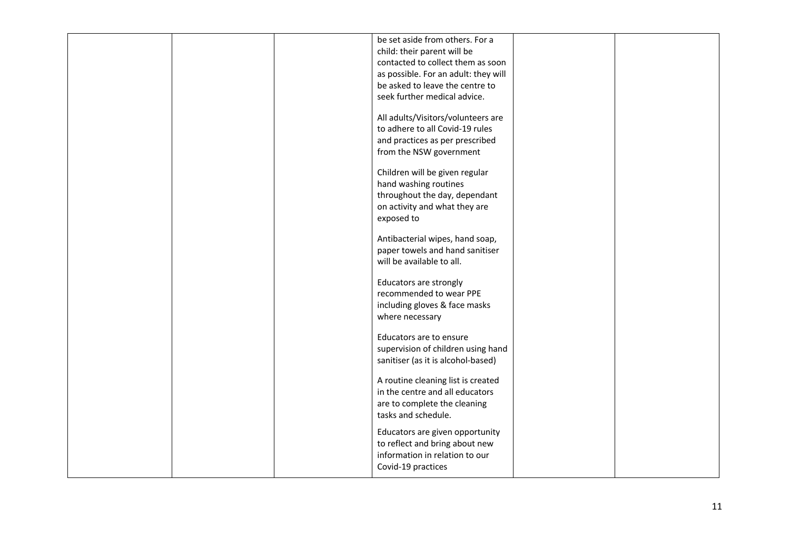|  | be set aside from others. For a<br>child: their parent will be<br>contacted to collect them as soon<br>as possible. For an adult: they will<br>be asked to leave the centre to<br>seek further medical advice. |  |
|--|----------------------------------------------------------------------------------------------------------------------------------------------------------------------------------------------------------------|--|
|  | All adults/Visitors/volunteers are<br>to adhere to all Covid-19 rules<br>and practices as per prescribed<br>from the NSW government                                                                            |  |
|  | Children will be given regular<br>hand washing routines<br>throughout the day, dependant<br>on activity and what they are<br>exposed to                                                                        |  |
|  | Antibacterial wipes, hand soap,<br>paper towels and hand sanitiser<br>will be available to all.<br>Educators are strongly                                                                                      |  |
|  | recommended to wear PPE<br>including gloves & face masks<br>where necessary                                                                                                                                    |  |
|  | Educators are to ensure<br>supervision of children using hand<br>sanitiser (as it is alcohol-based)<br>A routine cleaning list is created                                                                      |  |
|  | in the centre and all educators<br>are to complete the cleaning<br>tasks and schedule.                                                                                                                         |  |
|  | Educators are given opportunity<br>to reflect and bring about new<br>information in relation to our<br>Covid-19 practices                                                                                      |  |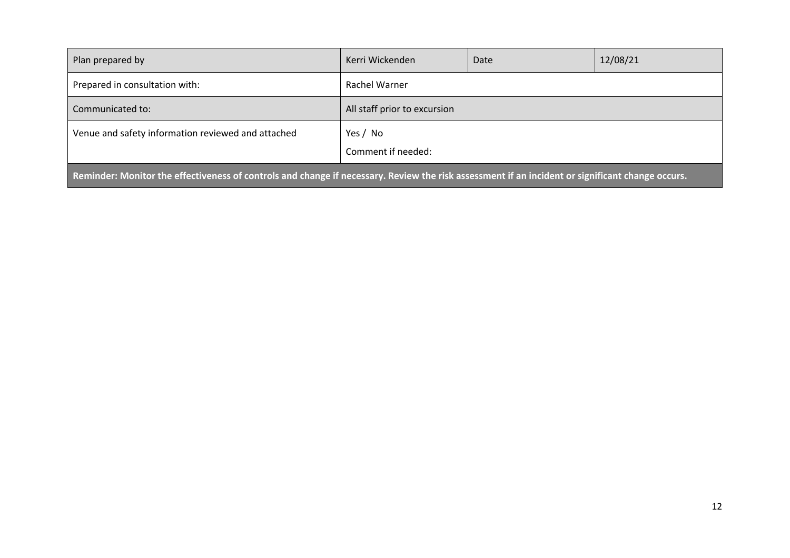| Plan prepared by                                                                                                                                 | Kerri Wickenden                | Date | 12/08/21 |  |  |
|--------------------------------------------------------------------------------------------------------------------------------------------------|--------------------------------|------|----------|--|--|
| Prepared in consultation with:                                                                                                                   | Rachel Warner                  |      |          |  |  |
| Communicated to:                                                                                                                                 | All staff prior to excursion   |      |          |  |  |
| Venue and safety information reviewed and attached                                                                                               | Yes / No<br>Comment if needed: |      |          |  |  |
| Reminder: Monitor the effectiveness of controls and change if necessary. Review the risk assessment if an incident or significant change occurs. |                                |      |          |  |  |